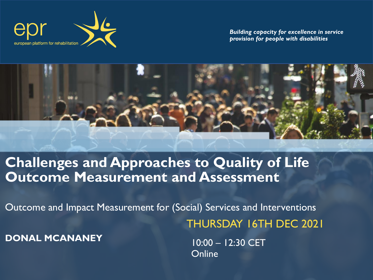

*Building capacity for excellence in service provision for people with disabilities*



#### **Challenges and Approaches to Quality of Life Outcome Measurement and Assessment**

Outcome and Impact Measurement for (Social) Services and Interventions THURSDAY 16TH DEC 2021

**DONAL MCANANEY**

10:00 – 12:30 CET **Online**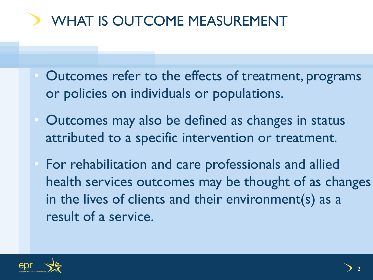# WHAT IS OUTCOME MEASUREMENT

- Outcomes refer to the effects of treatment, programs or policies on individuals or populations.
- Outcomes may also be defined as changes in status attributed to a specific intervention or treatment.
- For rehabilitation and care professionals and allied health services outcomes may be thought of as changes in the lives of clients and their environment(s) as a result of a service.

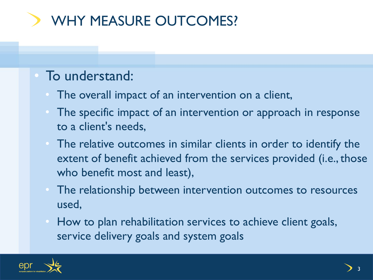# WHY MEASURE OUTCOMES?

## • To understand:

- The overall impact of an intervention on a client,
- The specific impact of an intervention or approach in response to a client's needs,
- The relative outcomes in similar clients in order to identify the extent of benefit achieved from the services provided (i.e., those who benefit most and least),
- The relationship between intervention outcomes to resources used,
- How to plan rehabilitation services to achieve client goals, service delivery goals and system goals

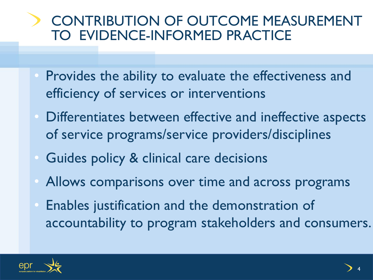# CONTRIBUTION OF OUTCOME MEASUREMENT TO EVIDENCE-INFORMED PRACTICE

- Provides the ability to evaluate the effectiveness and efficiency of services or interventions
- Differentiates between effective and ineffective aspects of service programs/service providers/disciplines
- Guides policy & clinical care decisions
- Allows comparisons over time and across programs
- Enables justification and the demonstration of accountability to program stakeholders and consumers.

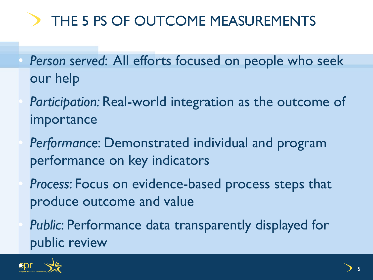# THE 5 PS OF OUTCOME MEASUREMENTS

- *Person served*: All efforts focused on people who seek our help
	- *Participation:* Real-world integration as the outcome of importance
	- *Performance*: Demonstrated individual and program performance on key indicators
	- *Process*: Focus on evidence-based process steps that produce outcome and value
	- *Public*: Performance data transparently displayed for public review

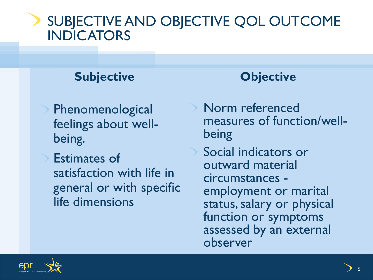## SUBJECTIVE AND OBJECTIVE QOL OUTCOME **INDICATORS**

#### **Subjective**

Phenomenological feelings about wellbeing.

Estimates of satisfaction with life in general or with specific life dimensions

#### **Objective**

Norm referenced measures of function/wellbeing Social indicators or outward material circumstances employment or marital status, salary or physical function or symptoms assessed by an external observer

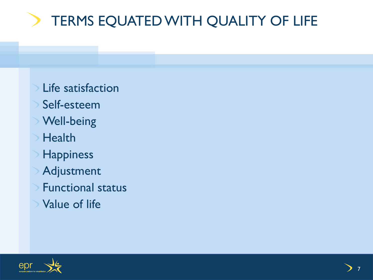# TERMS EQUATED WITH QUALITY OF LIFE

Life satisfaction Self-esteem Well-being  $\triangleright$  Health Happiness Adjustment Functional status Value of life

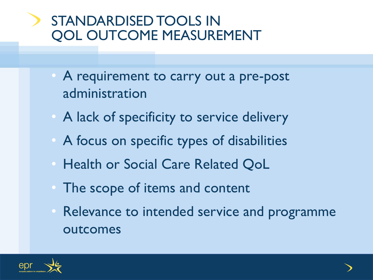# STANDARDISED TOOLS IN QOL OUTCOME MEASUREMENT

- A requirement to carry out a pre-post administration
- A lack of specificity to service delivery
- A focus on specific types of disabilities
- Health or Social Care Related QoL
- The scope of items and content
- Relevance to intended service and programme outcomes

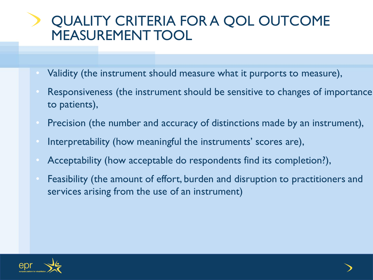# QUALITY CRITERIA FOR A QOL OUTCOME MEASUREMENT TOOL

- Validity (the instrument should measure what it purports to measure),
- Responsiveness (the instrument should be sensitive to changes of importance to patients),
- Precision (the number and accuracy of distinctions made by an instrument),
- Interpretability (how meaningful the instruments' scores are),
- Acceptability (how acceptable do respondents find its completion?),
- Feasibility (the amount of effort, burden and disruption to practitioners and services arising from the use of an instrument)

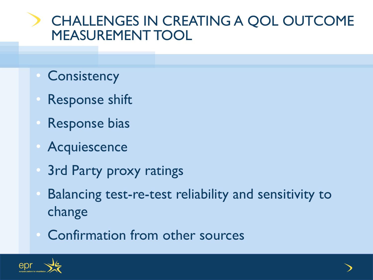# CHALLENGES IN CREATING A QOL OUTCOME MEASUREMENT TOOL

- Consistency
- Response shift
- Response bias
- Acquiescence
- 3rd Party proxy ratings
- Balancing test-re-test reliability and sensitivity to change
- Confirmation from other sources

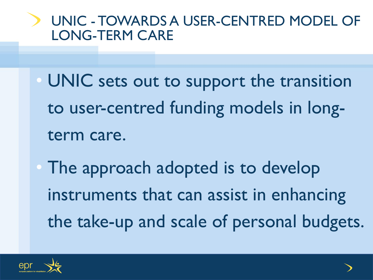# UNIC - TOWARDS A USER-CENTRED MODEL OF LONG-TERM CARE

- UNIC sets out to support the transition to user-centred funding models in longterm care.
- The approach adopted is to develop instruments that can assist in enhancing the take-up and scale of personal budgets.

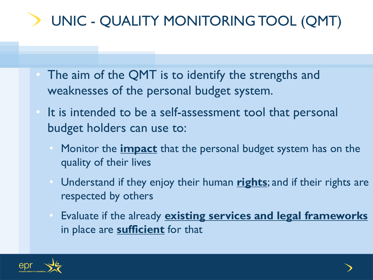# UNIC - QUALITY MONITORING TOOL (QMT)

- The aim of the QMT is to identify the strengths and weaknesses of the personal budget system.
- It is intended to be a self-assessment tool that personal budget holders can use to:
	- Monitor the **impact** that the personal budget system has on the quality of their lives
	- Understand if they enjoy their human **rights**; and if their rights are respected by others
	- Evaluate if the already **existing services and legal frameworks**  in place are **sufficient** for that

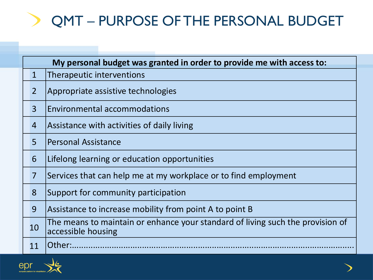#### QMT – PURPOSE OF THE PERSONAL BUDGET

| My personal budget was granted in order to provide me with access to: |                |                                                                                                      |  |
|-----------------------------------------------------------------------|----------------|------------------------------------------------------------------------------------------------------|--|
|                                                                       | $\mathbf 1$    | Therapeutic interventions                                                                            |  |
|                                                                       | $\overline{2}$ | Appropriate assistive technologies                                                                   |  |
|                                                                       | $\overline{3}$ | <b>Environmental accommodations</b>                                                                  |  |
|                                                                       | 4              | Assistance with activities of daily living                                                           |  |
|                                                                       | 5              | <b>Personal Assistance</b>                                                                           |  |
|                                                                       | 6              | Lifelong learning or education opportunities                                                         |  |
|                                                                       | 7              | Services that can help me at my workplace or to find employment                                      |  |
|                                                                       | 8              | Support for community participation                                                                  |  |
|                                                                       | 9              | Assistance to increase mobility from point A to point B                                              |  |
|                                                                       | 10             | The means to maintain or enhance your standard of living such the provision of<br>accessible housing |  |
|                                                                       | 11             | Other:                                                                                               |  |

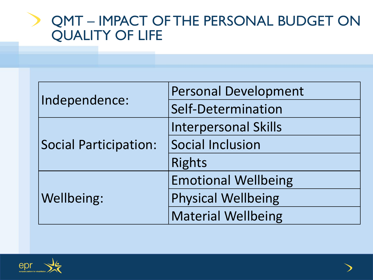## QMT – IMPACT OF THE PERSONAL BUDGET ON QUALITY OF LIFE

|                              | <b>Personal Development</b> |
|------------------------------|-----------------------------|
| Independence:                | Self-Determination          |
| <b>Social Participation:</b> | <b>Interpersonal Skills</b> |
|                              | <b>Social Inclusion</b>     |
|                              | <b>Rights</b>               |
|                              | <b>Emotional Wellbeing</b>  |
| <b>Wellbeing:</b>            | <b>Physical Wellbeing</b>   |
|                              | <b>Material Wellbeing</b>   |